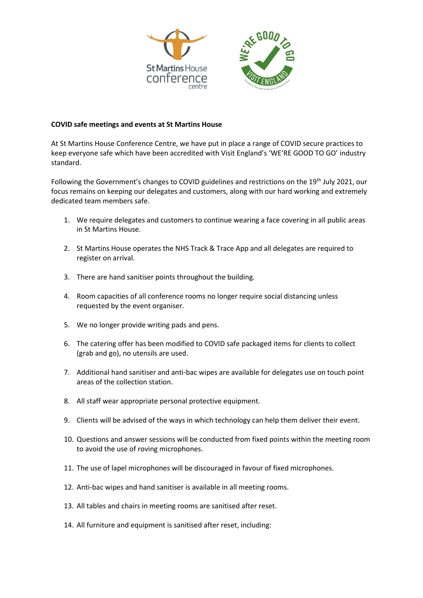

## **COVID safe meetings and events at St Martins House**

At St Martins House Conference Centre, we have put in place a range of COVID secure practices to keep everyone safe which have been accredited with Visit England's 'WE'RE GOOD TO GO' industry standard.

Following the Government's changes to COVID guidelines and restrictions on the 19th July 2021, our focus remains on keeping our delegates and customers, along with our hard working and extremely dedicated team members safe.

- 1. We require delegates and customers to continue wearing a face covering in all public areas in St Martins House.
- 2. St Martins House operates the NHS Track & Trace App and all delegates are required to register on arrival.
- 3. There are hand sanitiser points throughout the building.
- 4. Room capacities of all conference rooms no longer require social distancing unless requested by the event organiser.
- 5. We no longer provide writing pads and pens.
- 6. The catering offer has been modified to COVID safe packaged items for clients to collect (grab and go), no utensils are used.
- 7. Additional hand sanitiser and anti-bac wipes are available for delegates use on touch point areas of the collection station.
- 8. All staff wear appropriate personal protective equipment.
- 9. Clients will be advised of the ways in which technology can help them deliver their event.
- 10. Questions and answer sessions will be conducted from fixed points within the meeting room to avoid the use of roving microphones.
- 11. The use of lapel microphones will be discouraged in favour of fixed microphones.
- 12. Anti-bac wipes and hand sanitiser is available in all meeting rooms.
- 13. All tables and chairs in meeting rooms are sanitised after reset.
- 14. All furniture and equipment is sanitised after reset, including: